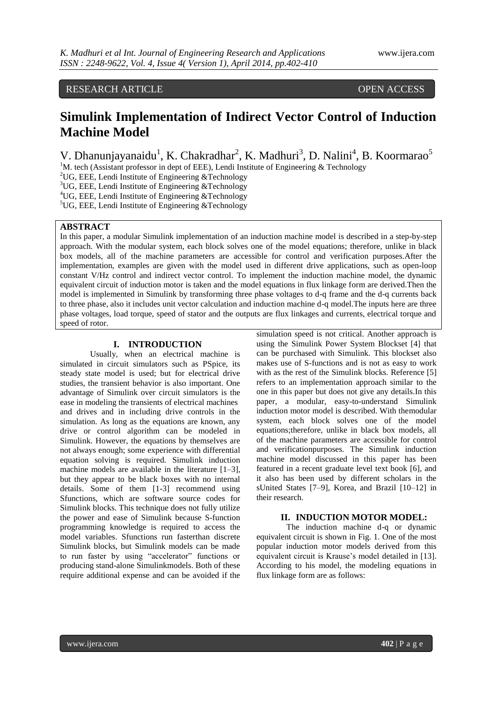# RESEARCH ARTICLE **CONTRACT ARTICLE** AND THE OPEN ACCESS

# **Simulink Implementation of Indirect Vector Control of Induction Machine Model**

V. Dhanunjayanaidu<sup>1</sup>, K. Chakradhar<sup>2</sup>, K. Madhuri<sup>3</sup>, D. Nalini<sup>4</sup>, B. Koormarao<sup>5</sup>

<sup>1</sup>M. tech (Assistant professor in dept of EEE), Lendi Institute of Engineering  $\&$  Technology

<sup>2</sup>UG, EEE, Lendi Institute of Engineering  $&$ Technology

 $3$ UG, EEE, Lendi Institute of Engineering &Technology

<sup>4</sup>UG, EEE, Lendi Institute of Engineering &Technology

<sup>5</sup>UG, EEE, Lendi Institute of Engineering &Technology

# **ABSTRACT**

In this paper, a modular Simulink implementation of an induction machine model is described in a step-by-step approach. With the modular system, each block solves one of the model equations; therefore, unlike in black box models, all of the machine parameters are accessible for control and verification purposes.After the implementation, examples are given with the model used in different drive applications, such as open-loop constant V/Hz control and indirect vector control. To implement the induction machine model, the dynamic equivalent circuit of induction motor is taken and the model equations in flux linkage form are derived.Then the model is implemented in Simulink by transforming three phase voltages to d-q frame and the d-q currents back to three phase, also it includes unit vector calculation and induction machine d-q model.The inputs here are three phase voltages, load torque, speed of stator and the outputs are flux linkages and currents, electrical torque and speed of rotor.

# **I. INTRODUCTION**

Usually, when an electrical machine is simulated in circuit simulators such as PSpice, its steady state model is used; but for electrical drive studies, the transient behavior is also important. One advantage of Simulink over circuit simulators is the ease in modeling the transients of electrical machines and drives and in including drive controls in the simulation. As long as the equations are known, any drive or control algorithm can be modeled in Simulink. However, the equations by themselves are not always enough; some experience with differential equation solving is required. Simulink induction machine models are available in the literature [1–3], but they appear to be black boxes with no internal details. Some of them [1-3] recommend using Sfunctions, which are software source codes for Simulink blocks. This technique does not fully utilize the power and ease of Simulink because S-function programming knowledge is required to access the model variables. Sfunctions run fasterthan discrete Simulink blocks, but Simulink models can be made to run faster by using "accelerator" functions or producing stand-alone Simulinkmodels. Both of these require additional expense and can be avoided if the

simulation speed is not critical. Another approach is using the Simulink Power System Blockset [4] that can be purchased with Simulink. This blockset also makes use of S-functions and is not as easy to work with as the rest of the Simulink blocks. Reference [5] refers to an implementation approach similar to the one in this paper but does not give any details.In this paper, a modular, easy-to-understand Simulink induction motor model is described. With themodular system, each block solves one of the model equations;therefore, unlike in black box models, all of the machine parameters are accessible for control and verificationpurposes. The Simulink induction machine model discussed in this paper has been featured in a recent graduate level text book [6], and it also has been used by different scholars in the sUnited States [7–9], Korea, and Brazil [10–12] in their research.

# **II. INDUCTION MOTOR MODEL:**

The induction machine d-q or dynamic equivalent circuit is shown in Fig. 1. One of the most popular induction motor models derived from this equivalent circuit is Krause's model detailed in [13]. According to his model, the modeling equations in flux linkage form are as follows: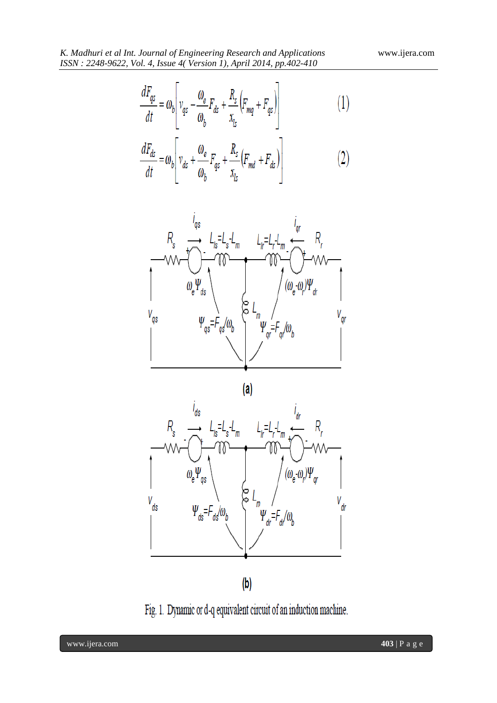$\overline{a}$ 

$$
\frac{dF_{qs}}{dt} = \omega_b \left[ v_{qs} - \frac{\omega_e}{\omega_b} F_{ds} + \frac{R_s}{x_{ls}} \left( F_{mq} + F_{qs} \right) \right]
$$
(1)

$$
\frac{dF_{ds}}{dt} = \omega_b \left[ v_{ds} + \frac{\omega_e}{\omega_b} F_{qs} + \frac{R_s}{x_{ls}} \left( F_{md} + F_{ds} \right) \right]
$$
(2)



 $(a)$ 



 $\left(\mathsf{b}\right)$ 

Fig. 1. Dynamic or d-q equivalent circuit of an induction machine.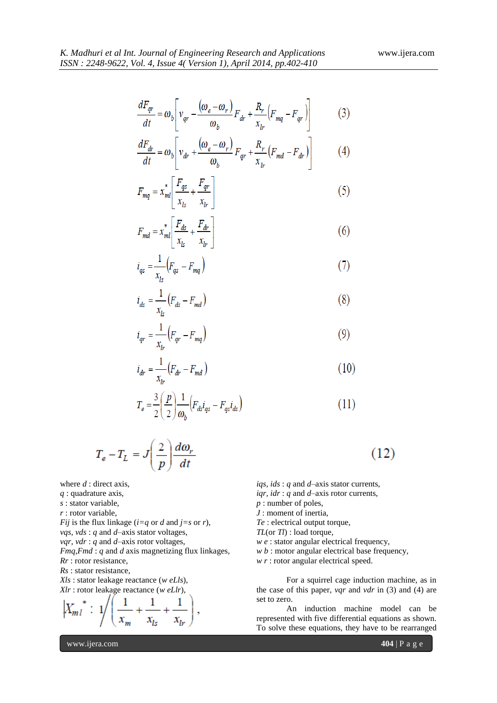$$
\frac{dF_{qr}}{dt} = \omega_b \left[ v_{qr} - \frac{(\omega_e - \omega_r)}{\omega_b} F_{dr} + \frac{R_r}{x_{lr}} \left( F_{mq} - F_{qr} \right) \right]
$$
(3)

$$
\frac{dF_{dr}}{dt} = \omega_b \left[ v_{dr} + \frac{(\omega_e - \omega_r)}{\omega_b} F_{qr} + \frac{R_r}{x_b} (F_{md} - F_{dr}) \right]
$$
(4)

$$
F_{mq} = x_{ml}^* \left[ \frac{F_{qs}}{x_{ls}} + \frac{F_{qr}}{x_{lr}} \right]
$$
 (5)

$$
F_{md} = x_{ml}^* \left[ \frac{F_{ds}}{x_{ls}} + \frac{F_{dr}}{x_{lr}} \right] \tag{6}
$$

$$
i_{qs} = \frac{1}{x_{ls}} \left( F_{qs} - F_{mq} \right) \tag{7}
$$

$$
i_{ds} = \frac{1}{x_{ls}} (F_{ds} - F_{md})
$$
 (8)

$$
i_{qr} = \frac{1}{x_{lr}} (F_{qr} - F_{mq})
$$
\n(9)

$$
i_{dr} = \frac{1}{x_{lr}} (F_{dr} - F_{md})
$$
\n(10)

$$
T_e = \frac{3}{2} \left( \frac{p}{2} \right) \frac{1}{\omega_b} \left( F_{ds} i_{qs} - F_{qs} i_{ds} \right)
$$
 (11)

$$
T_e - T_L = J \left(\frac{2}{p}\right) \frac{d\omega_r}{dt}
$$

where *d* : direct axis, *q* : quadrature axis, *s* : stator variable, *r* : rotor variable, *Fij* is the flux linkage ( $i=q$  or *d* and  $j=s$  or *r*), *vqs, vds* : *q* and *d*–axis stator voltages, *vqr, vdr* : *q* and *d*–axis rotor voltages, *Fmq,Fmd* : *q* and *d* axis magnetizing flux linkages, *Rr* : rotor resistance, *Rs* : stator resistance, *Xls* : stator leakage reactance (*w eLls*), *Xlr* : rotor leakage reactance (*w eLlr*),

$$
\left| X_{m l}^{*} : 1 \right/ \left( \frac{1}{x_{m}} + \frac{1}{x_{ls}} + \frac{1}{x_{lr}} \right)
$$

*iqs, ids* : *q* and *d*–axis stator currents,

 $(12)$ 

*iqr, idr* : *q* and *d*–axis rotor currents,

*p* : number of poles,

*J* : moment of inertia,

*Te* : electrical output torque,

*TL*(or *Tl*) : load torque,

- *w e* : stator angular electrical frequency,
- 
- *w b* : motor angular electrical base frequency,
- *w r* : rotor angular electrical speed.

For a squirrel cage induction machine, as in the case of this paper, *vqr* and *vdr* in (3) and (4) are set to zero.

An induction machine model can be represented with five differential equations as shown. To solve these equations, they have to be rearranged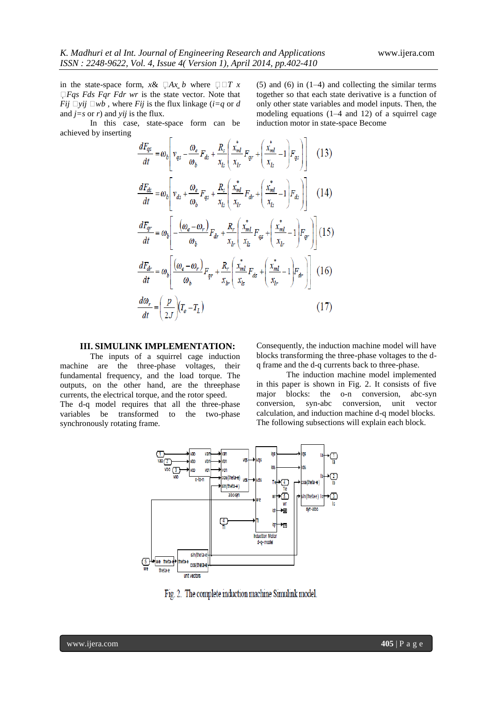in the state-space form,  $x \& \Box Ax \, b$  where  $\Box \Box T \, x$ *Fqs Fds Fqr Fdr wr* is the state vector. Note that *Fij*  $\Box$ *yij*  $\Box$ *wb*, where *Fij* is the flux linkage (*i*=*q* or *d* and  $j=s$  or  $r$ ) and  $yij$  is the flux.

In this case, state-space form can be achieved by inserting

(5) and (6) in (1–4) and collecting the similar terms together so that each state derivative is a function of only other state variables and model inputs. Then, the modeling equations (1–4 and 12) of a squirrel cage induction motor in state-space Become

$$
\frac{dF_{qs}}{dt} = \omega_b \left[ v_{qs} - \frac{\omega_e}{\omega_b} F_{ds} + \frac{R_s}{x_L} \left( \frac{x_{ml}^*}{x_{lr}} F_{qr} + \left( \frac{x_{ml}^*}{x_{ls}} - 1 \right) F_{qs} \right) \right]
$$
(13)  

$$
\frac{dF_{ds}}{dt} = \omega_b \left[ v_{ds} + \frac{\omega_e}{\omega_b} F_{qs} + \frac{R_s}{x_{ls}} \left( \frac{x_{ml}^*}{x_{lr}} F_{dr} + \left( \frac{x_{ml}^*}{x_{ls}} - 1 \right) F_{ds} \right) \right]
$$
(14)  

$$
\frac{dF_{qr}}{dt} = \omega_b \left[ -\frac{(\omega_e - \omega_r)}{\omega_b} F_{dr} + \frac{R_r}{x_{lr}} \left( \frac{x_{ml}^*}{x_{ls}} F_{qs} + \left( \frac{x_{ml}^*}{x_{lr}} - 1 \right) F_{qr} \right) \right]
$$
(15)  

$$
\frac{dF_{dr}}{dt} = \omega_b \left[ \frac{(\omega_e - \omega_r)}{\omega_b} F_{qr} + \frac{R_r}{x_{lr}} \left( \frac{x_{ml}^*}{x_{ls}} F_{ds} + \left( \frac{x_{ml}^*}{x_{lr}} - 1 \right) F_{dr} \right) \right]
$$
(16)  

$$
\frac{d\omega_r}{dt} = \left( \frac{p}{2J} \right) (T_e - T_L)
$$
(17)

# **III. SIMULINK IMPLEMENTATION:**

The inputs of a squirrel cage induction machine are the three-phase voltages, their fundamental frequency, and the load torque. The outputs, on the other hand, are the threephase currents, the electrical torque, and the rotor speed. The d-q model requires that all the three-phase variables be transformed to the two-phase synchronously rotating frame.

Consequently, the induction machine model will have blocks transforming the three-phase voltages to the dq frame and the d-q currents back to three-phase.

The induction machine model implemented in this paper is shown in Fig. 2. It consists of five major blocks: the o-n conversion, abc-syn conversion, syn-abc conversion, unit vector calculation, and induction machine d-q model blocks. The following subsections will explain each block.



Fig. 2. The complete induction machine Simulink model.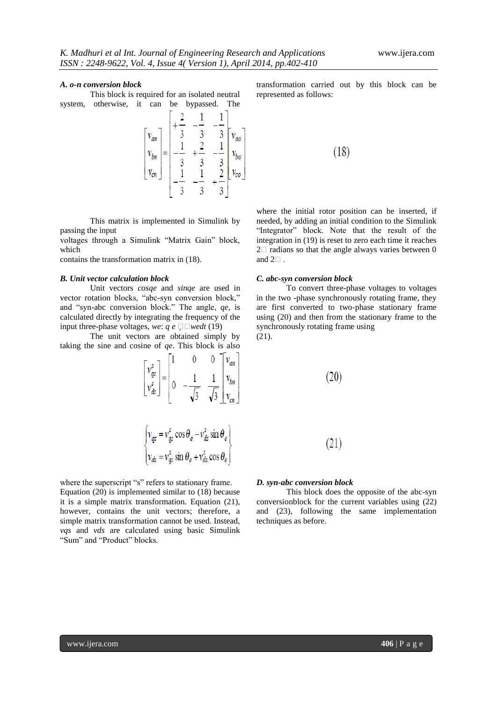#### *A. o-n conversion block*

This block is required for an isolated neutral system, otherwise, it can be bypassed. The

 $\begin{bmatrix} v_{an} \\ v_{bn} \\ v_{cn} \end{bmatrix} = \begin{bmatrix} +\frac{2}{3} & -\frac{1}{3} & -\frac{1}{3} \\ \frac{1}{3} & +\frac{2}{3} & -\frac{1}{3} \\ -\frac{1}{3} & \frac{1}{3} & -\frac{1}{3} \\ -\frac{1}{3} & -\frac{1}{3} & +\frac{2}{3} \end{bmatrix} \begin{bmatrix} v_{ao} \\ v_{bo} \\ v_{co} \end{bmatrix}$ 

This matrix is implemented in Simulink by passing the input

voltages through a Simulink "Matrix Gain" block, which

contains the transformation matrix in (18).

#### *B. Unit vector calculation block*

Unit vectors *cosqe* and *sinqe* are used in vector rotation blocks, "abc-syn conversion block," and "syn-abc conversion block." The angle, *qe*, is calculated directly by integrating the frequency of the input three-phase voltages, *we*:  $q e \Box \Box$ *wedt* (19)

The unit vectors are obtained simply by taking the sine and cosine of *qe*. This block is also

$$
\begin{bmatrix} v_{qs}^s \\ v_{qs}^s \end{bmatrix} = \begin{bmatrix} 1 & 0 & 0 \\ 0 & -\frac{1}{\sqrt{3}} & \frac{1}{\sqrt{3}} \\ 0 & \frac{1}{\sqrt{3}} & \frac{1}{\sqrt{3}} \end{bmatrix} \begin{bmatrix} v_{an} \\ v_{bn} \\ v_{cn} \end{bmatrix}
$$

 $\begin{cases} v_{qs} = v_{qs}^s \cos \theta_e - v_{ds}^s \sin \theta_e \\ v_{ds} = v_{qs}^s \sin \theta_e + v_{ds}^s \cos \theta_e \end{cases}$ 

where the superscript "s" refers to stationary frame. Equation (20) is implemented similar to (18) because it is a simple matrix transformation. Equation (21), however, contains the unit vectors; therefore, a simple matrix transformation cannot be used. Instead, *vqs* and *vds* are calculated using basic Simulink "Sum" and "Product" blocks.

transformation carried out by this block can be represented as follows:

$$
(18)
$$

where the initial rotor position can be inserted, if needed, by adding an initial condition to the Simulink "Integrator" block. Note that the result of the integration in (19) is reset to zero each time it reaches  $2\square$  radians so that the angle always varies between 0 and  $2\square$ .

# *C. abc-syn conversion block*

To convert three-phase voltages to voltages in the two -phase synchronously rotating frame, they are first converted to two-phase stationary frame using (20) and then from the stationary frame to the synchronously rotating frame using (21).

$$
(20)
$$

 $(21)$ 

#### *D. syn-abc conversion block*

This block does the opposite of the abc-syn conversionblock for the current variables using (22) and (23), following the same implementation techniques as before.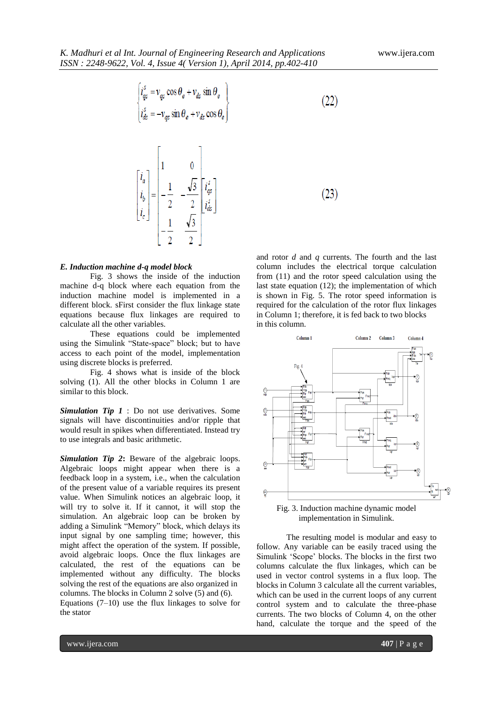$\left\{ \begin{aligned} & i_{qs}^s = v_{qs} \cos \theta_e + v_{ds} \sin \theta_e \\ & i_{ds}^s = -v_{qs} \sin \theta_e + v_{ds} \cos \theta_e \end{aligned} \right.$  $(22)$  $\begin{bmatrix} i_a \\ i_b \\ i_c \end{bmatrix} = \begin{bmatrix} 1 & 0 & 0 \\ 0 & -\frac{1}{2} & -\frac{\sqrt{3}}{2} \\ 0 & 0 & \frac{1}{2} \\ 0 & 0 & \frac{\sqrt{3}}{2} \end{bmatrix} \begin{bmatrix} i_a^s \\ i_a^s \end{bmatrix}$  $(23)$ 

#### *E. Induction machine d-q model block*

Fig. 3 shows the inside of the induction machine d-q block where each equation from the induction machine model is implemented in a different block. sFirst consider the flux linkage state equations because flux linkages are required to calculate all the other variables.

These equations could be implemented using the Simulink "State-space" block; but to have access to each point of the model, implementation using discrete blocks is preferred.

Fig. 4 shows what is inside of the block solving (1). All the other blocks in Column 1 are similar to this block.

*Simulation Tip 1* : Do not use derivatives. Some signals will have discontinuities and/or ripple that would result in spikes when differentiated. Instead try to use integrals and basic arithmetic.

*Simulation Tip 2***:** Beware of the algebraic loops. Algebraic loops might appear when there is a feedback loop in a system, i.e., when the calculation of the present value of a variable requires its present value. When Simulink notices an algebraic loop, it will try to solve it. If it cannot, it will stop the simulation. An algebraic loop can be broken by adding a Simulink "Memory" block, which delays its input signal by one sampling time; however, this might affect the operation of the system. If possible, avoid algebraic loops. Once the flux linkages are calculated, the rest of the equations can be implemented without any difficulty. The blocks solving the rest of the equations are also organized in columns. The blocks in Column 2 solve (5) and (6). Equations  $(7-10)$  use the flux linkages to solve for the stator

and rotor *d* and *q* currents. The fourth and the last column includes the electrical torque calculation from (11) and the rotor speed calculation using the last state equation (12); the implementation of which is shown in Fig. 5. The rotor speed information is required for the calculation of the rotor flux linkages in Column 1; therefore, it is fed back to two blocks in this column.



Fig. 3. Induction machine dynamic model implementation in Simulink.

The resulting model is modular and easy to follow. Any variable can be easily traced using the Simulink ‗Scope' blocks. The blocks in the first two columns calculate the flux linkages, which can be used in vector control systems in a flux loop. The blocks in Column 3 calculate all the current variables, which can be used in the current loops of any current control system and to calculate the three-phase currents. The two blocks of Column 4, on the other hand, calculate the torque and the speed of the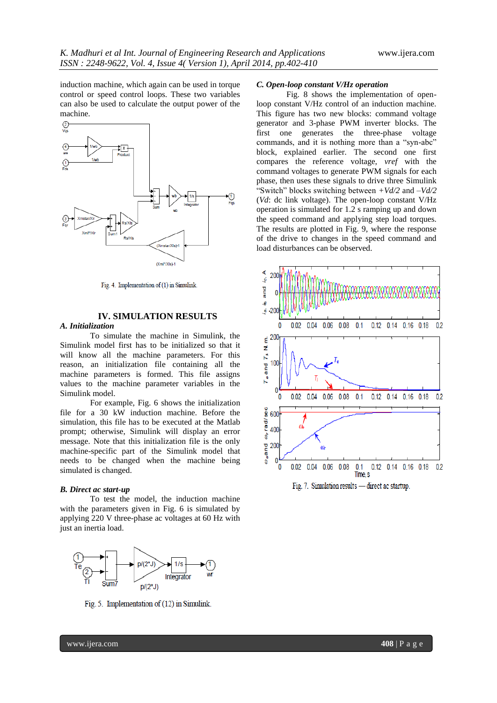induction machine, which again can be used in torque control or speed control loops. These two variables can also be used to calculate the output power of the machine.



Fig. 4. Implementation of (1) in Simulink.

# **IV. SIMULATION RESULTS**

# *A. Initialization*

To simulate the machine in Simulink, the Simulink model first has to be initialized so that it will know all the machine parameters. For this reason, an initialization file containing all the machine parameters is formed. This file assigns values to the machine parameter variables in the Simulink model.

For example, Fig. 6 shows the initialization file for a 30 kW induction machine. Before the simulation, this file has to be executed at the Matlab prompt; otherwise, Simulink will display an error message. Note that this initialization file is the only machine-specific part of the Simulink model that needs to be changed when the machine being simulated is changed.

#### *B. Direct ac start-up*

To test the model, the induction machine with the parameters given in Fig. 6 is simulated by applying 220 V three-phase ac voltages at 60 Hz with just an inertia load.



Fig. 5. Implementation of (12) in Simulink.

### *C. Open-loop constant V/Hz operation*

Fig. 8 shows the implementation of openloop constant V/Hz control of an induction machine. This figure has two new blocks: command voltage generator and 3-phase PWM inverter blocks. The first one generates the three-phase voltage commands, and it is nothing more than a "syn-abc" block, explained earlier. The second one first compares the reference voltage, *vref* with the command voltages to generate PWM signals for each phase, then uses these signals to drive three Simulink ―Switch‖ blocks switching between *+Vd/2* and *–Vd/2*  (*Vd*: dc link voltage). The open-loop constant V/Hz operation is simulated for 1.2 s ramping up and down the speed command and applying step load torques. The results are plotted in Fig. 9, where the response of the drive to changes in the speed command and load disturbances can be observed.



Fig. 7. Simulation results — direct ac startup.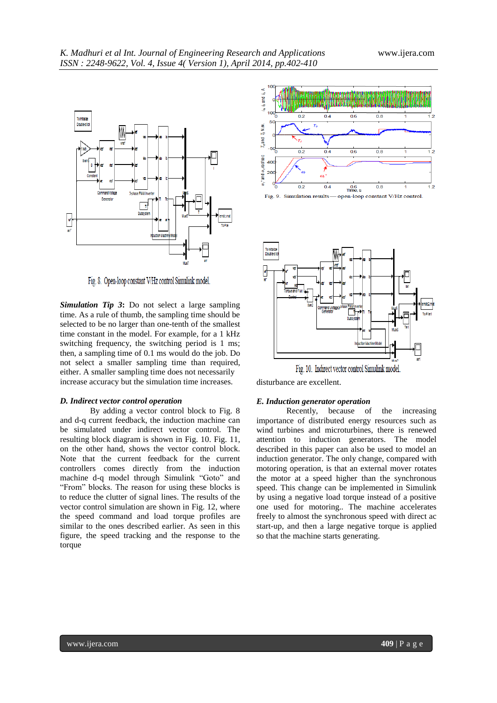

Fig. 8. Open-loop constant V/Hz control Simulink model.

*Simulation Tip 3***:** Do not select a large sampling time. As a rule of thumb, the sampling time should be selected to be no larger than one-tenth of the smallest time constant in the model. For example, for a 1 kHz switching frequency, the switching period is 1 ms; then, a sampling time of 0.1 ms would do the job. Do not select a smaller sampling time than required, either. A smaller sampling time does not necessarily increase accuracy but the simulation time increases.

#### *D. Indirect vector control operation*

By adding a vector control block to Fig. 8 and d-q current feedback, the induction machine can be simulated under indirect vector control. The resulting block diagram is shown in Fig. 10. Fig. 11, on the other hand, shows the vector control block. Note that the current feedback for the current controllers comes directly from the induction machine d-q model through Simulink "Goto" and ―From‖ blocks. The reason for using these blocks is to reduce the clutter of signal lines. The results of the vector control simulation are shown in Fig. 12, where the speed command and load torque profiles are similar to the ones described earlier. As seen in this figure, the speed tracking and the response to the torque





Fig. 10. Indirect vector control Simulink model

disturbance are excellent.

#### *E. Induction generator operation*

Recently, because of the increasing importance of distributed energy resources such as wind turbines and microturbines, there is renewed attention to induction generators. The model described in this paper can also be used to model an induction generator. The only change, compared with motoring operation, is that an external mover rotates the motor at a speed higher than the synchronous speed. This change can be implemented in Simulink by using a negative load torque instead of a positive one used for motoring.. The machine accelerates freely to almost the synchronous speed with direct ac start-up, and then a large negative torque is applied so that the machine starts generating.